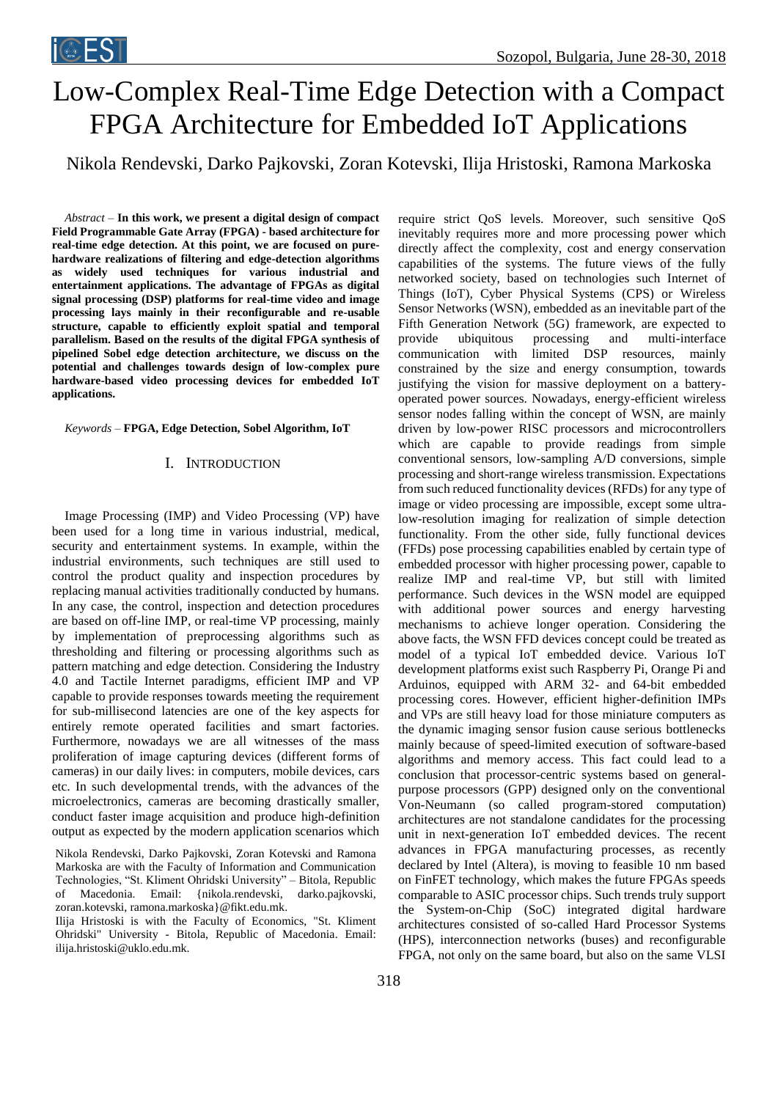# Low-Complex Real-Time Edge Detection with a Compact FPGA Architecture for Embedded IoT Applications

Nikola Rendevski, Darko Pajkovski, Zoran Kotevski, Ilija Hristoski, Ramona Markoska

*Abstract –* **In this work, we present a digital design of compact Field Programmable Gate Array (FPGA) - based architecture for real-time edge detection. At this point, we are focused on purehardware realizations of filtering and edge-detection algorithms as widely used techniques for various industrial and entertainment applications. The advantage of FPGAs as digital signal processing (DSP) platforms for real-time video and image processing lays mainly in their reconfigurable and re-usable structure, capable to efficiently exploit spatial and temporal parallelism. Based on the results of the digital FPGA synthesis of pipelined Sobel edge detection architecture, we discuss on the potential and challenges towards design of low-complex pure hardware-based video processing devices for embedded IoT applications.** 

*Keywords –* **FPGA, Edge Detection, Sobel Algorithm, IoT**

## I. INTRODUCTION

Image Processing (IMP) and Video Processing (VP) have been used for a long time in various industrial, medical, security and entertainment systems. In example, within the industrial environments, such techniques are still used to control the product quality and inspection procedures by replacing manual activities traditionally conducted by humans. In any case, the control, inspection and detection procedures are based on off-line IMP, or real-time VP processing, mainly by implementation of preprocessing algorithms such as thresholding and filtering or processing algorithms such as pattern matching and edge detection. Considering the Industry 4.0 and Tactile Internet paradigms, efficient IMP and VP capable to provide responses towards meeting the requirement for sub-millisecond latencies are one of the key aspects for entirely remote operated facilities and smart factories. Furthermore, nowadays we are all witnesses of the mass proliferation of image capturing devices (different forms of cameras) in our daily lives: in computers, mobile devices, cars etc. In such developmental trends, with the advances of the microelectronics, cameras are becoming drastically smaller, conduct faster image acquisition and produce high-definition output as expected by the modern application scenarios which

Nikola Rendevski, Darko Pajkovski, Zoran Kotevski and Ramona Markoska are with the Faculty of Information and Communication Technologies, "St. Kliment Ohridski University" – Bitola, Republic of Macedonia. Email: {nikola.rendevski, darko.pajkovski, zoran.kotevski, ramona.markoska}@fikt.edu.mk.

Ilija Hristoski is with the Faculty of Economics, "St. Kliment Ohridski" University - Bitola, Republic of Macedonia. Email: ilija.hristoski@uklo.edu.mk.

require strict QoS levels. Moreover, such sensitive QoS inevitably requires more and more processing power which directly affect the complexity, cost and energy conservation capabilities of the systems. The future views of the fully networked society, based on technologies such Internet of Things (IoT), Cyber Physical Systems (CPS) or Wireless Sensor Networks (WSN), embedded as an inevitable part of the Fifth Generation Network (5G) framework, are expected to provide ubiquitous processing and multi-interface communication with limited DSP resources, mainly constrained by the size and energy consumption, towards justifying the vision for massive deployment on a batteryoperated power sources. Nowadays, energy-efficient wireless sensor nodes falling within the concept of WSN, are mainly driven by low-power RISC processors and microcontrollers which are capable to provide readings from simple conventional sensors, low-sampling A/D conversions, simple processing and short-range wireless transmission. Expectations from such reduced functionality devices (RFDs) for any type of image or video processing are impossible, except some ultralow-resolution imaging for realization of simple detection functionality. From the other side, fully functional devices (FFDs) pose processing capabilities enabled by certain type of embedded processor with higher processing power, capable to realize IMP and real-time VP, but still with limited performance. Such devices in the WSN model are equipped with additional power sources and energy harvesting mechanisms to achieve longer operation. Considering the above facts, the WSN FFD devices concept could be treated as model of a typical IoT embedded device. Various IoT development platforms exist such Raspberry Pi, Orange Pi and Arduinos, equipped with ARM 32- and 64-bit embedded processing cores. However, efficient higher-definition IMPs and VPs are still heavy load for those miniature computers as the dynamic imaging sensor fusion cause serious bottlenecks mainly because of speed-limited execution of software-based algorithms and memory access. This fact could lead to a conclusion that processor-centric systems based on generalpurpose processors (GPP) designed only on the conventional Von-Neumann (so called program-stored computation) architectures are not standalone candidates for the processing unit in next-generation IoT embedded devices. The recent advances in FPGA manufacturing processes, as recently declared by Intel (Altera), is moving to feasible 10 nm based on FinFET technology, which makes the future FPGAs speeds comparable to ASIC processor chips. Such trends truly support the System-on-Chip (SoC) integrated digital hardware architectures consisted of so-called Hard Processor Systems (HPS), interconnection networks (buses) and reconfigurable FPGA, not only on the same board, but also on the same VLSI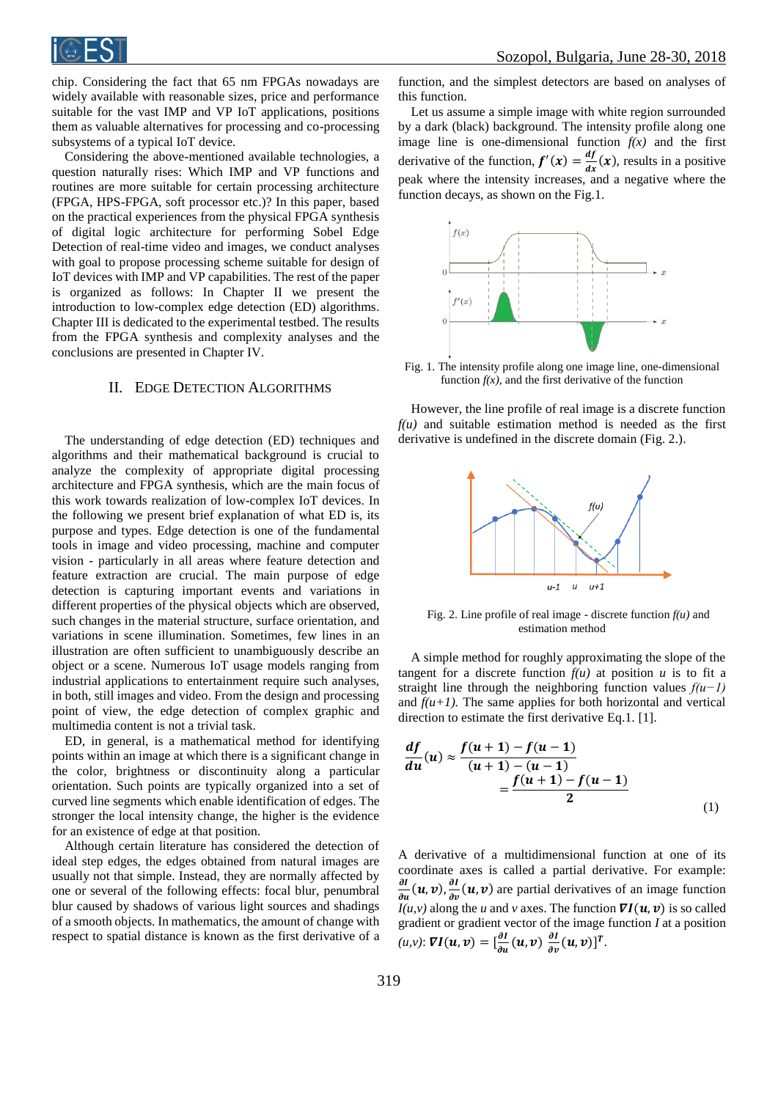

chip. Considering the fact that 65 nm FPGAs nowadays are widely available with reasonable sizes, price and performance suitable for the vast IMP and VP IoT applications, positions them as valuable alternatives for processing and co-processing subsystems of a typical IoT device.

Considering the above-mentioned available technologies, a question naturally rises: Which IMP and VP functions and routines are more suitable for certain processing architecture (FPGA, HPS-FPGA, soft processor etc.)? In this paper, based on the practical experiences from the physical FPGA synthesis of digital logic architecture for performing Sobel Edge Detection of real-time video and images, we conduct analyses with goal to propose processing scheme suitable for design of IoT devices with IMP and VP capabilities. The rest of the paper is organized as follows: In Chapter II we present the introduction to low-complex edge detection (ED) algorithms. Chapter III is dedicated to the experimental testbed. The results from the FPGA synthesis and complexity analyses and the conclusions are presented in Chapter IV.

### II. EDGE DETECTION ALGORITHMS

The understanding of edge detection (ED) techniques and algorithms and their mathematical background is crucial to analyze the complexity of appropriate digital processing architecture and FPGA synthesis, which are the main focus of this work towards realization of low-complex IoT devices. In the following we present brief explanation of what ED is, its purpose and types. Edge detection is one of the fundamental tools in image and video processing, machine and computer vision - particularly in all areas where feature detection and feature extraction are crucial. The main purpose of edge detection is capturing important events and variations in different properties of the physical objects which are observed, such changes in the material structure, surface orientation, and variations in scene illumination. Sometimes, few lines in an illustration are often sufficient to unambiguously describe an object or a scene. Numerous IoT usage models ranging from industrial applications to entertainment require such analyses, in both, still images and video. From the design and processing point of view, the edge detection of complex graphic and multimedia content is not a trivial task.

ED, in general, is a mathematical method for identifying points within an image at which there is a significant change in the color, brightness or discontinuity along a particular orientation. Such points are typically organized into a set of curved line segments which enable identification of edges. The stronger the local intensity change, the higher is the evidence for an existence of edge at that position.

Although certain literature has considered the detection of ideal step edges, the edges obtained from natural images are usually not that simple. Instead, they are normally affected by one or several of the following effects: focal blur, penumbral blur caused by shadows of various light sources and shadings of a smooth objects. In mathematics, the amount of change with respect to spatial distance is known as the first derivative of a

function, and the simplest detectors are based on analyses of this function.

Let us assume a simple image with white region surrounded by a dark (black) background. The intensity profile along one image line is one-dimensional function  $f(x)$  and the first derivative of the function,  $f'(x) = \frac{df}{dx}$  $\frac{dy}{dx}(x)$ , results in a positive peak where the intensity increases, and a negative where the function decays, as shown on the Fig.1.



Fig. 1. The intensity profile along one image line, one-dimensional function  $f(x)$ , and the first derivative of the function

However, the line profile of real image is a discrete function  $f(u)$  and suitable estimation method is needed as the first derivative is undefined in the discrete domain (Fig. 2.).



Fig. 2. Line profile of real image - discrete function  $f(u)$  and estimation method

A simple method for roughly approximating the slope of the tangent for a discrete function  $f(u)$  at position  $u$  is to fit a straight line through the neighboring function values *f(u−1)* and  $f(u+1)$ . The same applies for both horizontal and vertical direction to estimate the first derivative Eq.1. [1].

$$
\frac{df}{du}(u) \approx \frac{f(u+1) - f(u-1)}{(u+1) - (u-1)} = \frac{f(u+1) - f(u-1)}{2}
$$
\n(1)

A derivative of a multidimensional function at one of its coordinate axes is called a partial derivative. For example: дI  $\frac{\partial I}{\partial u}(u, v), \frac{\partial I}{\partial v}$  $\frac{\partial I}{\partial v}$  (*u*, *v*) are partial derivatives of an image function  $I(u, v)$  along the *u* and *v* axes. The function  $\nabla I(u, v)$  is so called gradient or gradient vector of the image function *I* at a position  $(u, v)$ :  $\nabla I(u, v) = \left[\frac{\partial I}{\partial x}\right]$  $\frac{\partial l}{\partial u}(u, v) \frac{\partial l}{\partial v}$  $\frac{\partial I}{\partial v}(u, v)]^T$ .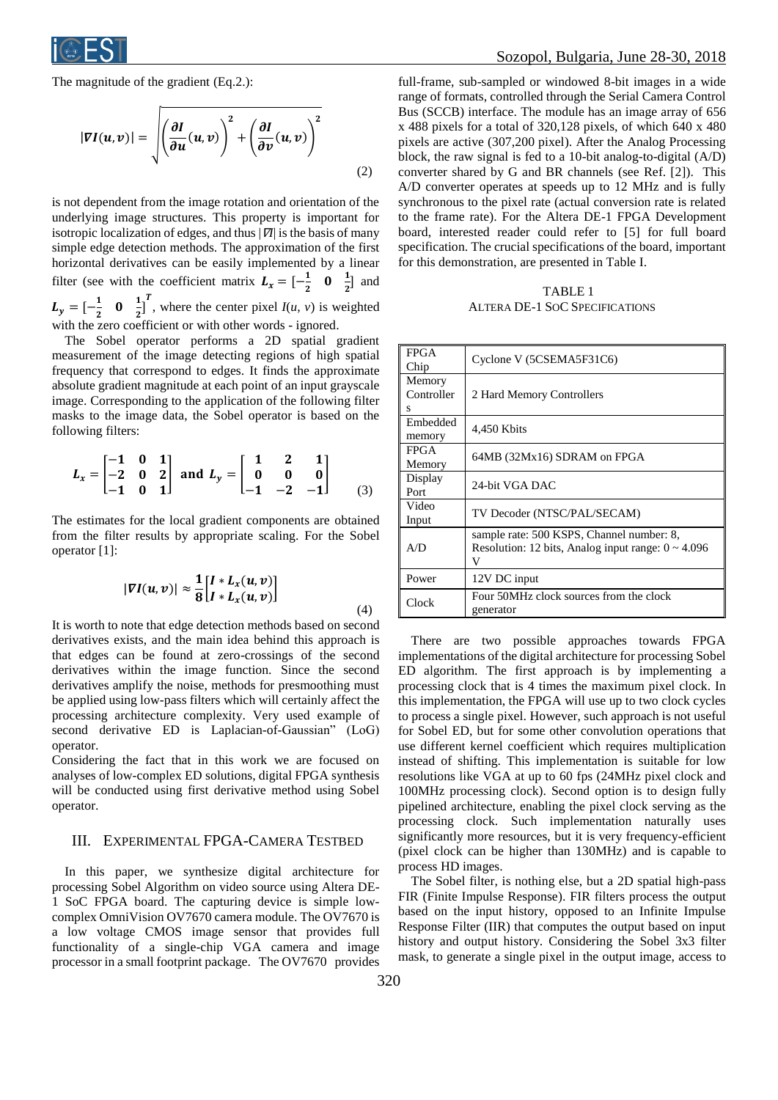

The magnitude of the gradient (Eq.2.):

$$
|\nabla I(u,v)| = \sqrt{\left(\frac{\partial I}{\partial u}(u,v)\right)^2 + \left(\frac{\partial I}{\partial v}(u,v)\right)^2}
$$
\n(2)

is not dependent from the image rotation and orientation of the underlying image structures. This property is important for isotropic localization of edges, and thus |∇*I*| is the basis of many simple edge detection methods. The approximation of the first horizontal derivatives can be easily implemented by a linear filter (see with the coefficient matrix  $L_x = \begin{bmatrix} -\frac{1}{2} \end{bmatrix}$  $\frac{1}{2}$  0  $\frac{1}{2}$  $\frac{1}{2}$  and  $L_y = \left[ -\frac{1}{2} \right]$  $\frac{1}{2}$  0  $\frac{1}{2}$  $\frac{1}{2}$ , where the center pixel  $I(u, v)$  is weighted with the zero coefficient or with other words - ignored.

The Sobel operator performs a 2D spatial gradient measurement of the image detecting regions of high spatial frequency that correspond to edges. It finds the approximate absolute gradient magnitude at each point of an input grayscale image. Corresponding to the application of the following filter masks to the image data, the Sobel operator is based on the following filters:

$$
L_x = \begin{bmatrix} -1 & 0 & 1 \\ -2 & 0 & 2 \\ -1 & 0 & 1 \end{bmatrix} \text{ and } L_y = \begin{bmatrix} 1 & 2 & 1 \\ 0 & 0 & 0 \\ -1 & -2 & -1 \end{bmatrix}
$$
 (3)

The estimates for the local gradient components are obtained from the filter results by appropriate scaling. For the Sobel operator [1]:

$$
|\nabla I(u,v)| \approx \frac{1}{8} \begin{bmatrix} I & L_x(u,v) \\ I & L_x(u,v) \end{bmatrix} \tag{4}
$$

It is worth to note that edge detection methods based on second derivatives exists, and the main idea behind this approach is that edges can be found at zero-crossings of the second derivatives within the image function. Since the second derivatives amplify the noise, methods for presmoothing must be applied using low-pass filters which will certainly affect the processing architecture complexity. Very used example of second derivative ED is Laplacian-of-Gaussian" (LoG) operator.

Considering the fact that in this work we are focused on analyses of low-complex ED solutions, digital FPGA synthesis will be conducted using first derivative method using Sobel operator.

## III. EXPERIMENTAL FPGA-CAMERA TESTBED

In this paper, we synthesize digital architecture for processing Sobel Algorithm on video source using Altera DE-1 SoC FPGA board. The capturing device is simple lowcomplex OmniVision OV7670 camera module. The OV7670 is a low voltage CMOS image sensor that provides full functionality of a single-chip VGA camera and image processor in a small footprint package. The OV7670 provides full-frame, sub-sampled or windowed 8-bit images in a wide range of formats, controlled through the Serial Camera Control Bus (SCCB) interface. The module has an image array of 656 x 488 pixels for a total of 320,128 pixels, of which 640 x 480 pixels are active (307,200 pixel). After the Analog Processing block, the raw signal is fed to a 10-bit analog-to-digital (A/D) converter shared by G and BR channels (see Ref. [2]). This A/D converter operates at speeds up to 12 MHz and is fully synchronous to the pixel rate (actual conversion rate is related to the frame rate). For the Altera DE-1 FPGA Development board, interested reader could refer to [5] for full board specification. The crucial specifications of the board, important for this demonstration, are presented in Table I.

TABLE 1 ALTERA DE-1 SOC SPECIFICATIONS

| <b>FPGA</b><br>Chip       | Cyclone V (5CSEMA5F31C6)                                                                                  |
|---------------------------|-----------------------------------------------------------------------------------------------------------|
| Memory<br>Controller<br>s | 2 Hard Memory Controllers                                                                                 |
| Embedded<br>memory        | 4,450 Kbits                                                                                               |
| <b>FPGA</b><br>Memory     | 64MB (32Mx16) SDRAM on FPGA                                                                               |
| Display<br>Port           | 24-bit VGA DAC                                                                                            |
| Video<br>Input            | TV Decoder (NTSC/PAL/SECAM)                                                                               |
| A/D                       | sample rate: 500 KSPS, Channel number: 8,<br>Resolution: 12 bits, Analog input range: $0 \sim 4.096$<br>V |
| Power                     | 12V DC input                                                                                              |
| Clock                     | Four 50MHz clock sources from the clock<br>generator                                                      |

There are two possible approaches towards FPGA implementations of the digital architecture for processing Sobel ED algorithm. The first approach is by implementing a processing clock that is 4 times the maximum pixel clock. In this implementation, the FPGA will use up to two clock cycles to process a single pixel. However, such approach is not useful for Sobel ED, but for some other convolution operations that use different kernel coefficient which requires multiplication instead of shifting. This implementation is suitable for low resolutions like VGA at up to 60 fps (24MHz pixel clock and 100MHz processing clock). Second option is to design fully pipelined architecture, enabling the pixel clock serving as the processing clock. Such implementation naturally uses significantly more resources, but it is very frequency-efficient (pixel clock can be higher than 130MHz) and is capable to process HD images.

The Sobel filter, is nothing else, but a 2D spatial high-pass FIR (Finite Impulse Response). FIR filters process the output based on the input history, opposed to an Infinite Impulse Response Filter (IIR) that computes the output based on input history and output history. Considering the Sobel 3x3 filter mask, to generate a single pixel in the output image, access to